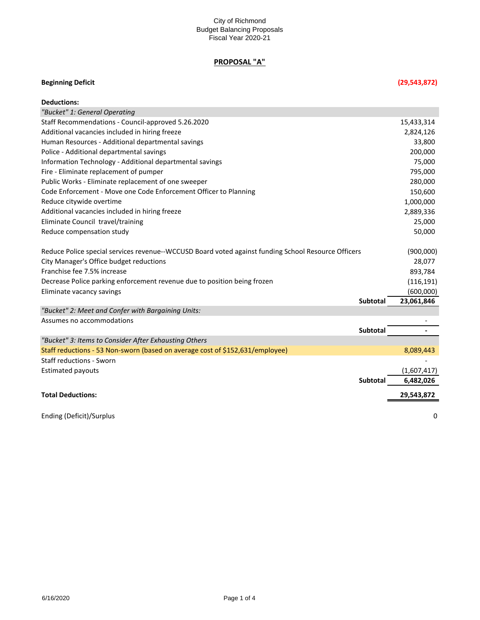# **PROPOSAL "A"**

## **Beginning Deficit (29,543,872)**

| <b>Deductions:</b>                                                                                  |                 |             |
|-----------------------------------------------------------------------------------------------------|-----------------|-------------|
| "Bucket" 1: General Operating                                                                       |                 |             |
| Staff Recommendations - Council-approved 5.26.2020                                                  |                 | 15,433,314  |
| Additional vacancies included in hiring freeze                                                      |                 | 2,824,126   |
| Human Resources - Additional departmental savings                                                   |                 | 33,800      |
| Police - Additional departmental savings                                                            |                 | 200,000     |
| Information Technology - Additional departmental savings                                            |                 | 75,000      |
| Fire - Eliminate replacement of pumper                                                              |                 | 795,000     |
| Public Works - Eliminate replacement of one sweeper                                                 |                 | 280,000     |
| Code Enforcement - Move one Code Enforcement Officer to Planning                                    |                 | 150,600     |
| Reduce citywide overtime                                                                            |                 | 1,000,000   |
| Additional vacancies included in hiring freeze                                                      |                 | 2,889,336   |
| Eliminate Council travel/training                                                                   |                 | 25,000      |
| Reduce compensation study                                                                           |                 | 50,000      |
| Reduce Police special services revenue--WCCUSD Board voted against funding School Resource Officers |                 | (900,000)   |
| City Manager's Office budget reductions                                                             |                 | 28,077      |
| Franchise fee 7.5% increase                                                                         |                 | 893,784     |
| Decrease Police parking enforcement revenue due to position being frozen                            |                 | (116, 191)  |
| Eliminate vacancy savings                                                                           |                 | (600,000)   |
|                                                                                                     | <b>Subtotal</b> | 23,061,846  |
| "Bucket" 2: Meet and Confer with Bargaining Units:                                                  |                 |             |
| Assumes no accommodations                                                                           |                 |             |
|                                                                                                     | <b>Subtotal</b> |             |
| "Bucket" 3: Items to Consider After Exhausting Others                                               |                 |             |
| Staff reductions - 53 Non-sworn (based on average cost of \$152,631/employee)                       |                 | 8,089,443   |
| <b>Staff reductions - Sworn</b>                                                                     |                 |             |
| <b>Estimated payouts</b>                                                                            |                 | (1,607,417) |
|                                                                                                     | <b>Subtotal</b> | 6,482,026   |
| <b>Total Deductions:</b>                                                                            |                 | 29,543,872  |
| Ending (Deficit)/Surplus                                                                            |                 | 0           |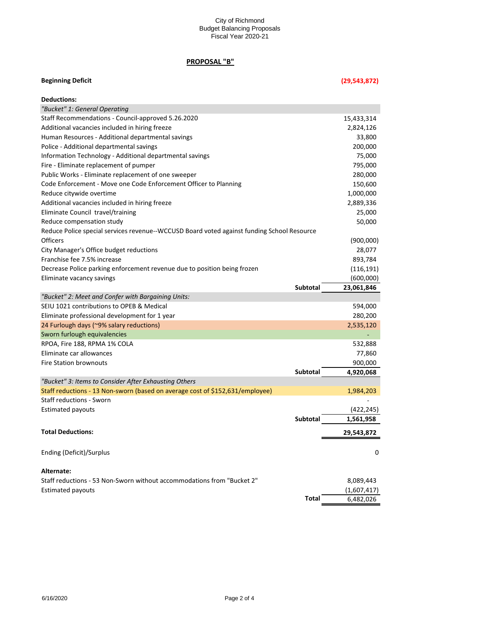# **PROPOSAL "B"**

## **Beginning Deficit (29,543,872)**

| <b>Deductions:</b>                                                                         |                 |             |
|--------------------------------------------------------------------------------------------|-----------------|-------------|
| "Bucket" 1: General Operating                                                              |                 |             |
| Staff Recommendations - Council-approved 5.26.2020                                         |                 | 15,433,314  |
| Additional vacancies included in hiring freeze                                             |                 | 2,824,126   |
| Human Resources - Additional departmental savings                                          |                 | 33,800      |
| Police - Additional departmental savings                                                   |                 | 200,000     |
| Information Technology - Additional departmental savings                                   |                 | 75,000      |
| Fire - Eliminate replacement of pumper                                                     |                 | 795,000     |
| Public Works - Eliminate replacement of one sweeper                                        |                 | 280,000     |
| Code Enforcement - Move one Code Enforcement Officer to Planning                           |                 | 150,600     |
| Reduce citywide overtime                                                                   |                 | 1,000,000   |
| Additional vacancies included in hiring freeze                                             |                 | 2,889,336   |
| Eliminate Council travel/training                                                          |                 | 25,000      |
| Reduce compensation study                                                                  |                 | 50,000      |
| Reduce Police special services revenue--WCCUSD Board voted against funding School Resource |                 |             |
| <b>Officers</b>                                                                            |                 | (900,000)   |
| City Manager's Office budget reductions                                                    |                 | 28,077      |
| Franchise fee 7.5% increase                                                                |                 | 893,784     |
| Decrease Police parking enforcement revenue due to position being frozen                   |                 | (116, 191)  |
| Eliminate vacancy savings                                                                  |                 | (600,000)   |
|                                                                                            | <b>Subtotal</b> | 23,061,846  |
| "Bucket" 2: Meet and Confer with Bargaining Units:                                         |                 |             |
| SEIU 1021 contributions to OPEB & Medical                                                  |                 | 594,000     |
| Eliminate professional development for 1 year                                              |                 | 280,200     |
| 24 Furlough days (~9% salary reductions)                                                   |                 | 2,535,120   |
| Sworn furlough equivalencies                                                               |                 |             |
| RPOA, Fire 188, RPMA 1% COLA                                                               |                 | 532,888     |
| Eliminate car allowances                                                                   |                 | 77,860      |
| <b>Fire Station brownouts</b>                                                              |                 | 900,000     |
|                                                                                            | <b>Subtotal</b> | 4,920,068   |
| "Bucket" 3: Items to Consider After Exhausting Others                                      |                 |             |
| Staff reductions - 13 Non-sworn (based on average cost of \$152,631/employee)              |                 | 1,984,203   |
| Staff reductions - Sworn                                                                   |                 |             |
| <b>Estimated payouts</b>                                                                   |                 | (422, 245)  |
|                                                                                            | <b>Subtotal</b> | 1,561,958   |
| <b>Total Deductions:</b>                                                                   |                 | 29,543,872  |
|                                                                                            |                 |             |
| Ending (Deficit)/Surplus                                                                   |                 | 0           |
|                                                                                            |                 |             |
|                                                                                            |                 |             |
| Alternate:                                                                                 |                 |             |
| Staff reductions - 53 Non-Sworn without accommodations from "Bucket 2"                     |                 | 8,089,443   |
| <b>Estimated payouts</b>                                                                   |                 | (1,607,417) |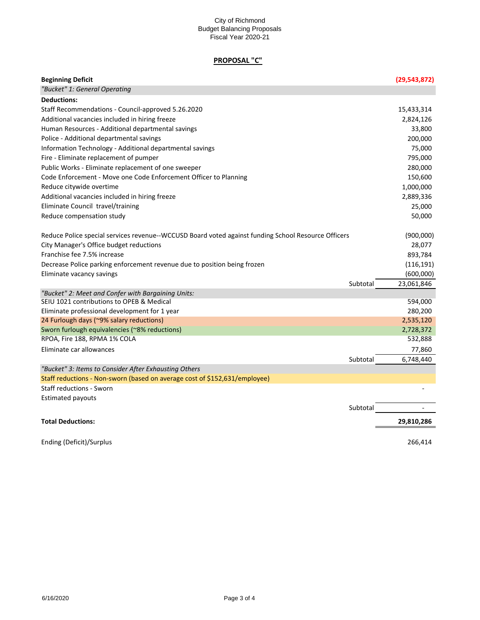### City of Richmond Budget Balancing Proposals Fiscal Year 2020-21

# **PROPOSAL "C"**

| <b>Beginning Deficit</b>                                                                            |          | (29, 543, 872) |
|-----------------------------------------------------------------------------------------------------|----------|----------------|
| "Bucket" 1: General Operating                                                                       |          |                |
| <b>Deductions:</b>                                                                                  |          |                |
| Staff Recommendations - Council-approved 5.26.2020                                                  |          | 15,433,314     |
| Additional vacancies included in hiring freeze                                                      |          | 2,824,126      |
| Human Resources - Additional departmental savings                                                   |          | 33,800         |
| Police - Additional departmental savings                                                            |          | 200,000        |
| Information Technology - Additional departmental savings                                            |          | 75,000         |
| Fire - Eliminate replacement of pumper                                                              |          | 795,000        |
| Public Works - Eliminate replacement of one sweeper                                                 |          | 280,000        |
| Code Enforcement - Move one Code Enforcement Officer to Planning                                    |          | 150,600        |
| Reduce citywide overtime                                                                            |          | 1,000,000      |
| Additional vacancies included in hiring freeze                                                      |          | 2,889,336      |
| Eliminate Council travel/training                                                                   |          | 25,000         |
| Reduce compensation study                                                                           |          | 50,000         |
| Reduce Police special services revenue--WCCUSD Board voted against funding School Resource Officers |          | (900,000)      |
| City Manager's Office budget reductions                                                             |          | 28,077         |
| Franchise fee 7.5% increase                                                                         |          | 893,784        |
| Decrease Police parking enforcement revenue due to position being frozen                            |          | (116, 191)     |
| Eliminate vacancy savings                                                                           |          | (600,000)      |
|                                                                                                     | Subtotal | 23,061,846     |
| "Bucket" 2: Meet and Confer with Bargaining Units:                                                  |          |                |
| SEIU 1021 contributions to OPEB & Medical                                                           |          | 594,000        |
| Eliminate professional development for 1 year                                                       |          | 280,200        |
| 24 Furlough days (~9% salary reductions)                                                            |          | 2,535,120      |
| Sworn furlough equivalencies (~8% reductions)                                                       |          | 2,728,372      |
| RPOA, Fire 188, RPMA 1% COLA                                                                        |          | 532,888        |
| Eliminate car allowances                                                                            |          | 77,860         |
|                                                                                                     | Subtotal | 6,748,440      |
| "Bucket" 3: Items to Consider After Exhausting Others                                               |          |                |
| Staff reductions - Non-sworn (based on average cost of \$152,631/employee)                          |          |                |
| <b>Staff reductions - Sworn</b>                                                                     |          |                |
| <b>Estimated payouts</b>                                                                            |          |                |
|                                                                                                     | Subtota  |                |
| <b>Total Deductions:</b>                                                                            |          | 29,810,286     |
| Ending (Deficit)/Surplus                                                                            |          | 266,414        |